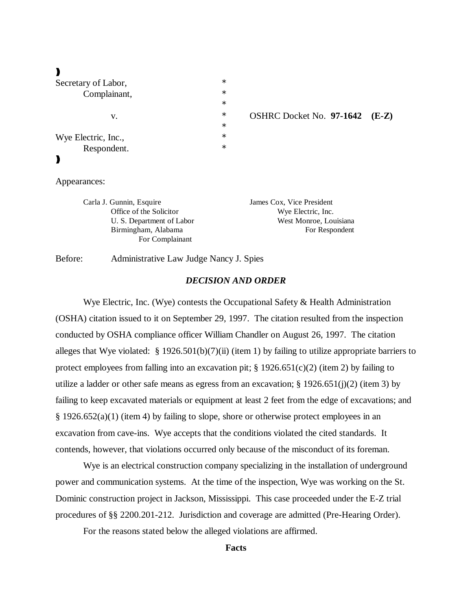# $\lambda$

| Secretary of Labor, | $\ast$ |
|---------------------|--------|
| Complainant,        | $\ast$ |
|                     | $\ast$ |
| V.                  | $\ast$ |
|                     | $\ast$ |
| Wye Electric, Inc., | $\ast$ |
| Respondent.         | $\ast$ |
|                     |        |
|                     |        |
|                     |        |

v. \* OSHRC Docket No. **97-1642 (E-Z)**

Appearances:

| Carla J. Gunnin, Esquire  | James Cox, Vice President |
|---------------------------|---------------------------|
| Office of the Solicitor   | Wye Electric, Inc.        |
| U. S. Department of Labor | West Monroe, Louisiana    |
| Birmingham, Alabama       | For Respondent            |
| For Complainant           |                           |

Before: Administrative Law Judge Nancy J. Spies

#### *DECISION AND ORDER*

Wye Electric, Inc. (Wye) contests the Occupational Safety  $\&$  Health Administration (OSHA) citation issued to it on September 29, 1997. The citation resulted from the inspection conducted by OSHA compliance officer William Chandler on August 26, 1997. The citation alleges that Wye violated: § 1926.501(b)(7)(ii) (item 1) by failing to utilize appropriate barriers to protect employees from falling into an excavation pit;  $\S 1926.651(c)(2)$  (item 2) by failing to utilize a ladder or other safe means as egress from an excavation;  $\S$  1926.651(j)(2) (item 3) by failing to keep excavated materials or equipment at least 2 feet from the edge of excavations; and § 1926.652(a)(1) (item 4) by failing to slope, shore or otherwise protect employees in an excavation from cave-ins. Wye accepts that the conditions violated the cited standards. It contends, however, that violations occurred only because of the misconduct of its foreman.

Wye is an electrical construction company specializing in the installation of underground power and communication systems. At the time of the inspection, Wye was working on the St. Dominic construction project in Jackson, Mississippi. This case proceeded under the E-Z trial procedures of §§ 2200.201-212. Jurisdiction and coverage are admitted (Pre-Hearing Order).

For the reasons stated below the alleged violations are affirmed.

# **Facts**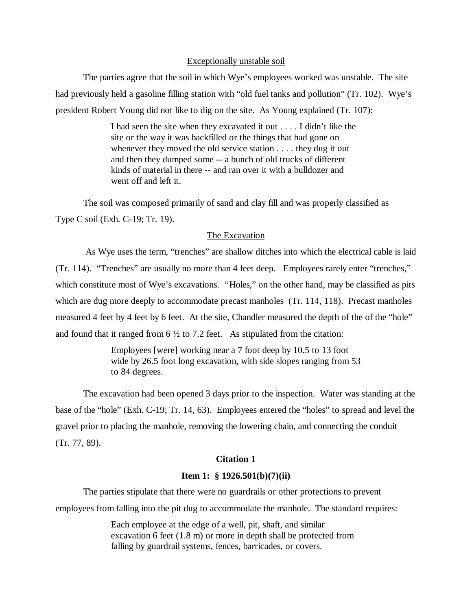## Exceptionally unstable soil

The parties agree that the soil in which Wye's employees worked was unstable. The site had previously held a gasoline filling station with "old fuel tanks and pollution" (Tr. 102). Wye's president Robert Young did not like to dig on the site. As Young explained (Tr. 107):

> I had seen the site when they excavated it out . . . . I didn't like the site or the way it was backfilled or the things that had gone on whenever they moved the old service station . . . . they dug it out and then they dumped some -- a bunch of old trucks of different kinds of material in there -- and ran over it with a bulldozer and went off and left it.

The soil was composed primarily of sand and clay fill and was properly classified as Type C soil (Exh. C-19; Tr. 19).

#### The Excavation

 As Wye uses the term, "trenches" are shallow ditches into which the electrical cable is laid (Tr. 114). "Trenches" are usually no more than 4 feet deep. Employees rarely enter "trenches," which constitute most of Wye's excavations. "Holes," on the other hand, may be classified as pits which are dug more deeply to accommodate precast manholes (Tr. 114, 118). Precast manholes measured 4 feet by 4 feet by 6 feet. At the site, Chandler measured the depth of the of the "hole" and found that it ranged from  $6\frac{1}{2}$  to 7.2 feet. As stipulated from the citation:

> Employees [were] working near a 7 foot deep by 10.5 to 13 foot wide by 26.5 foot long excavation, with side slopes ranging from 53 to 84 degrees.

The excavation had been opened 3 days prior to the inspection. Water was standing at the base of the "hole" (Exh. C-19; Tr. 14, 63). Employees entered the "holes" to spread and level the gravel prior to placing the manhole, removing the lowering chain, and connecting the conduit (Tr. 77, 89).

## **Citation 1**

## **Item 1: § 1926.501(b)(7)(ii)**

The parties stipulate that there were no guardrails or other protections to prevent employees from falling into the pit dug to accommodate the manhole. The standard requires:

> Each employee at the edge of a well, pit, shaft, and similar excavation 6 feet (1.8 m) or more in depth shall be protected from falling by guardrail systems, fences, barricades, or covers.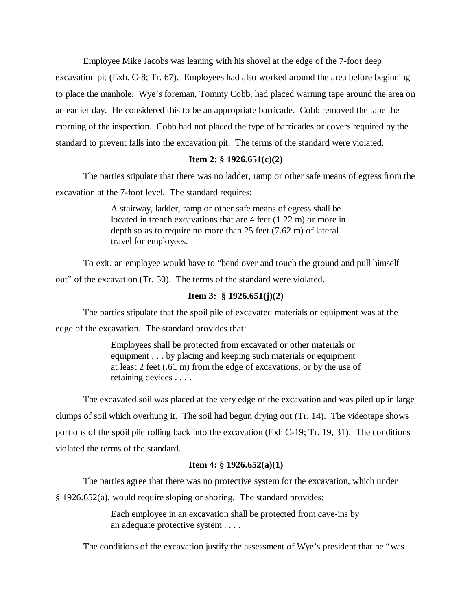Employee Mike Jacobs was leaning with his shovel at the edge of the 7-foot deep excavation pit (Exh. C-8; Tr. 67). Employees had also worked around the area before beginning to place the manhole. Wye's foreman, Tommy Cobb, had placed warning tape around the area on an earlier day. He considered this to be an appropriate barricade. Cobb removed the tape the morning of the inspection. Cobb had not placed the type of barricades or covers required by the standard to prevent falls into the excavation pit. The terms of the standard were violated.

## **Item 2: § 1926.651(c)(2)**

The parties stipulate that there was no ladder, ramp or other safe means of egress from the excavation at the 7-foot level. The standard requires:

> A stairway, ladder, ramp or other safe means of egress shall be located in trench excavations that are 4 feet (1.22 m) or more in depth so as to require no more than 25 feet (7.62 m) of lateral travel for employees.

To exit, an employee would have to "bend over and touch the ground and pull himself out" of the excavation (Tr. 30). The terms of the standard were violated.

## **Item 3: § 1926.651(j)(2)**

The parties stipulate that the spoil pile of excavated materials or equipment was at the

edge of the excavation. The standard provides that:

Employees shall be protected from excavated or other materials or equipment . . . by placing and keeping such materials or equipment at least 2 feet (.61 m) from the edge of excavations, or by the use of retaining devices . . . .

The excavated soil was placed at the very edge of the excavation and was piled up in large clumps of soil which overhung it. The soil had begun drying out (Tr. 14). The videotape shows portions of the spoil pile rolling back into the excavation (Exh C-19; Tr. 19, 31). The conditions violated the terms of the standard.

## **Item 4: § 1926.652(a)(1)**

The parties agree that there was no protective system for the excavation, which under

§ 1926.652(a), would require sloping or shoring. The standard provides:

Each employee in an excavation shall be protected from cave-ins by an adequate protective system . . . .

The conditions of the excavation justify the assessment of Wye's president that he "was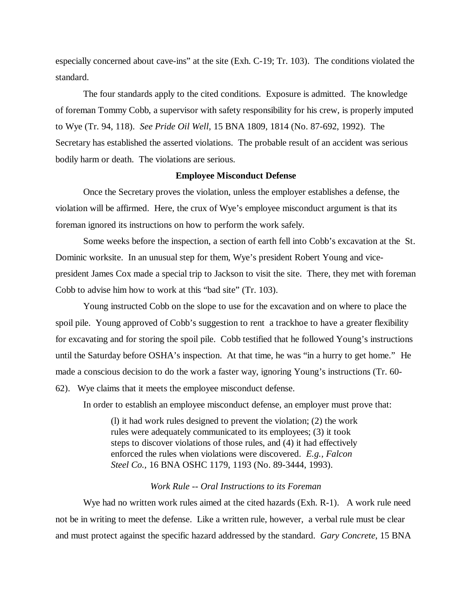especially concerned about cave-ins" at the site (Exh. C-19; Tr. 103). The conditions violated the standard.

The four standards apply to the cited conditions. Exposure is admitted. The knowledge of foreman Tommy Cobb, a supervisor with safety responsibility for his crew, is properly imputed to Wye (Tr. 94, 118). *See Pride Oil Well,* 15 BNA 1809, 1814 (No. 87-692, 1992). The Secretary has established the asserted violations. The probable result of an accident was serious bodily harm or death. The violations are serious.

## **Employee Misconduct Defense**

Once the Secretary proves the violation, unless the employer establishes a defense, the violation will be affirmed. Here, the crux of Wye's employee misconduct argument is that its foreman ignored its instructions on how to perform the work safely.

Some weeks before the inspection, a section of earth fell into Cobb's excavation at the St. Dominic worksite. In an unusual step for them, Wye's president Robert Young and vicepresident James Cox made a special trip to Jackson to visit the site. There, they met with foreman Cobb to advise him how to work at this "bad site" (Tr. 103).

Young instructed Cobb on the slope to use for the excavation and on where to place the spoil pile. Young approved of Cobb's suggestion to rent a trackhoe to have a greater flexibility for excavating and for storing the spoil pile. Cobb testified that he followed Young's instructions until the Saturday before OSHA's inspection. At that time, he was "in a hurry to get home." He made a conscious decision to do the work a faster way, ignoring Young's instructions (Tr. 60- 62). Wye claims that it meets the employee misconduct defense.

In order to establish an employee misconduct defense, an employer must prove that:

(l) it had work rules designed to prevent the violation; (2) the work rules were adequately communicated to its employees; (3) it took steps to discover violations of those rules, and (4) it had effectively enforced the rules when violations were discovered. *E.g., Falcon Steel Co.,* 16 BNA OSHC 1179, 1193 (No. 89-3444, 1993).

#### *Work Rule -- Oral Instructions to its Foreman*

Wye had no written work rules aimed at the cited hazards (Exh. R-1). A work rule need not be in writing to meet the defense. Like a written rule, however, a verbal rule must be clear and must protect against the specific hazard addressed by the standard. *Gary Concrete*, 15 BNA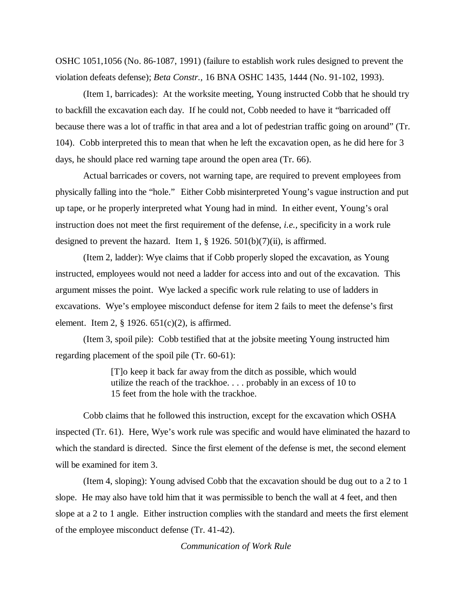OSHC 1051,1056 (No. 86-1087, 1991) (failure to establish work rules designed to prevent the violation defeats defense); *Beta Constr.,* 16 BNA OSHC 1435, 1444 (No. 91-102, 1993).

(Item 1, barricades): At the worksite meeting, Young instructed Cobb that he should try to backfill the excavation each day. If he could not, Cobb needed to have it "barricaded off because there was a lot of traffic in that area and a lot of pedestrian traffic going on around" (Tr. 104). Cobb interpreted this to mean that when he left the excavation open, as he did here for 3 days, he should place red warning tape around the open area (Tr. 66).

Actual barricades or covers, not warning tape, are required to prevent employees from physically falling into the "hole." Either Cobb misinterpreted Young's vague instruction and put up tape, or he properly interpreted what Young had in mind. In either event, Young's oral instruction does not meet the first requirement of the defense, *i.e.,* specificity in a work rule designed to prevent the hazard. Item 1,  $\S$  1926. 501(b)(7)(ii), is affirmed.

(Item 2, ladder): Wye claims that if Cobb properly sloped the excavation, as Young instructed, employees would not need a ladder for access into and out of the excavation. This argument misses the point. Wye lacked a specific work rule relating to use of ladders in excavations. Wye's employee misconduct defense for item 2 fails to meet the defense's first element. Item 2,  $\S$  1926. 651(c)(2), is affirmed.

(Item 3, spoil pile): Cobb testified that at the jobsite meeting Young instructed him regarding placement of the spoil pile (Tr. 60-61):

> [T]o keep it back far away from the ditch as possible, which would utilize the reach of the trackhoe. . . . probably in an excess of 10 to 15 feet from the hole with the trackhoe.

Cobb claims that he followed this instruction, except for the excavation which OSHA inspected (Tr. 61). Here, Wye's work rule was specific and would have eliminated the hazard to which the standard is directed. Since the first element of the defense is met, the second element will be examined for item 3.

(Item 4, sloping): Young advised Cobb that the excavation should be dug out to a 2 to 1 slope. He may also have told him that it was permissible to bench the wall at 4 feet, and then slope at a 2 to 1 angle. Either instruction complies with the standard and meets the first element of the employee misconduct defense (Tr. 41-42).

*Communication of Work Rule*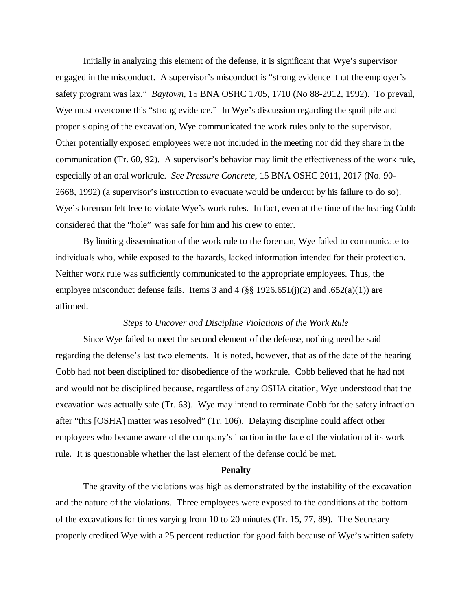Initially in analyzing this element of the defense, it is significant that Wye's supervisor engaged in the misconduct. A supervisor's misconduct is "strong evidence that the employer's safety program was lax." *Baytown*, 15 BNA OSHC 1705, 1710 (No 88-2912, 1992). To prevail, Wye must overcome this "strong evidence." In Wye's discussion regarding the spoil pile and proper sloping of the excavation, Wye communicated the work rules only to the supervisor. Other potentially exposed employees were not included in the meeting nor did they share in the communication (Tr. 60, 92). A supervisor's behavior may limit the effectiveness of the work rule, especially of an oral workrule. *See Pressure Concrete*, 15 BNA OSHC 2011, 2017 (No. 90- 2668, 1992) (a supervisor's instruction to evacuate would be undercut by his failure to do so). Wye's foreman felt free to violate Wye's work rules. In fact, even at the time of the hearing Cobb considered that the "hole" was safe for him and his crew to enter.

By limiting dissemination of the work rule to the foreman, Wye failed to communicate to individuals who, while exposed to the hazards, lacked information intended for their protection. Neither work rule was sufficiently communicated to the appropriate employees. Thus, the employee misconduct defense fails. Items 3 and 4 ( $\S$ § 1926.651(j)(2) and .652(a)(1)) are affirmed.

#### *Steps to Uncover and Discipline Violations of the Work Rule*

Since Wye failed to meet the second element of the defense, nothing need be said regarding the defense's last two elements. It is noted, however, that as of the date of the hearing Cobb had not been disciplined for disobedience of the workrule. Cobb believed that he had not and would not be disciplined because, regardless of any OSHA citation, Wye understood that the excavation was actually safe (Tr. 63). Wye may intend to terminate Cobb for the safety infraction after "this [OSHA] matter was resolved" (Tr. 106). Delaying discipline could affect other employees who became aware of the company's inaction in the face of the violation of its work rule. It is questionable whether the last element of the defense could be met.

## **Penalty**

The gravity of the violations was high as demonstrated by the instability of the excavation and the nature of the violations. Three employees were exposed to the conditions at the bottom of the excavations for times varying from 10 to 20 minutes (Tr. 15, 77, 89). The Secretary properly credited Wye with a 25 percent reduction for good faith because of Wye's written safety